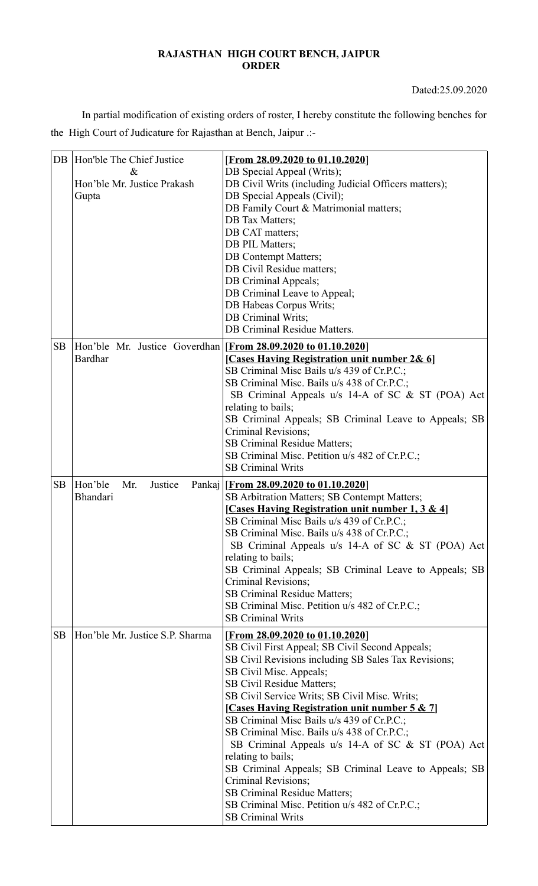## **RAJASTHAN HIGH COURT BENCH, JAIPUR ORDER**

Dated:25.09.2020

In partial modification of existing orders of roster, I hereby constitute the following benches for the High Court of Judicature for Rajasthan at Bench, Jaipur .:-

| DB        | Hon'ble The Chief Justice<br>&<br>Hon'ble Mr. Justice Prakash<br>Gupta          | [From 28.09.2020 to 01.10.2020]<br>DB Special Appeal (Writs);<br>DB Civil Writs (including Judicial Officers matters);<br>DB Special Appeals (Civil);<br>DB Family Court & Matrimonial matters;<br><b>DB</b> Tax Matters;<br>DB CAT matters;<br>DB PIL Matters;<br><b>DB</b> Contempt Matters;<br>DB Civil Residue matters;<br>DB Criminal Appeals;<br>DB Criminal Leave to Appeal;<br>DB Habeas Corpus Writs;<br>DB Criminal Writs;<br>DB Criminal Residue Matters.                                                                                                                                                                                                              |
|-----------|---------------------------------------------------------------------------------|-----------------------------------------------------------------------------------------------------------------------------------------------------------------------------------------------------------------------------------------------------------------------------------------------------------------------------------------------------------------------------------------------------------------------------------------------------------------------------------------------------------------------------------------------------------------------------------------------------------------------------------------------------------------------------------|
| <b>SB</b> | Hon'ble Mr. Justice Goverdhan [From 28.09.2020 to 01.10.2020]<br><b>Bardhar</b> | [Cases Having Registration unit number 2& 6]<br>SB Criminal Misc Bails u/s 439 of Cr.P.C.;<br>SB Criminal Misc. Bails u/s 438 of Cr.P.C.;<br>SB Criminal Appeals u/s 14-A of SC & ST (POA) Act<br>relating to bails;<br>SB Criminal Appeals; SB Criminal Leave to Appeals; SB<br>Criminal Revisions;<br><b>SB Criminal Residue Matters;</b><br>SB Criminal Misc. Petition u/s 482 of Cr.P.C.;<br><b>SB Criminal Writs</b>                                                                                                                                                                                                                                                         |
| <b>SB</b> | Hon'ble<br>Justice<br>Mr.<br>Bhandari                                           | Pankaj [From 28.09.2020 to 01.10.2020]<br>SB Arbitration Matters; SB Contempt Matters;<br>[Cases Having Registration unit number 1, 3 & 4]<br>SB Criminal Misc Bails u/s 439 of Cr.P.C.;<br>SB Criminal Misc. Bails u/s 438 of Cr.P.C.;<br>SB Criminal Appeals u/s 14-A of SC & ST (POA) Act<br>relating to bails;<br>SB Criminal Appeals; SB Criminal Leave to Appeals; SB<br>Criminal Revisions;<br><b>SB Criminal Residue Matters;</b><br>SB Criminal Misc. Petition u/s 482 of Cr.P.C.;<br><b>SB Criminal Writs</b>                                                                                                                                                           |
| <b>SB</b> | Hon'ble Mr. Justice S.P. Sharma                                                 | <b>[From 28.09.2020 to 01.10.2020]</b><br>SB Civil First Appeal; SB Civil Second Appeals;<br>SB Civil Revisions including SB Sales Tax Revisions;<br>SB Civil Misc. Appeals;<br>SB Civil Residue Matters;<br>SB Civil Service Writs; SB Civil Misc. Writs;<br>[Cases Having Registration unit number 5 & 7]<br>SB Criminal Misc Bails u/s 439 of Cr.P.C.;<br>SB Criminal Misc. Bails u/s 438 of Cr.P.C.;<br>SB Criminal Appeals u/s 14-A of SC & ST (POA) Act<br>relating to bails;<br>SB Criminal Appeals; SB Criminal Leave to Appeals; SB<br>Criminal Revisions;<br>SB Criminal Residue Matters;<br>SB Criminal Misc. Petition u/s 482 of Cr.P.C.;<br><b>SB Criminal Writs</b> |